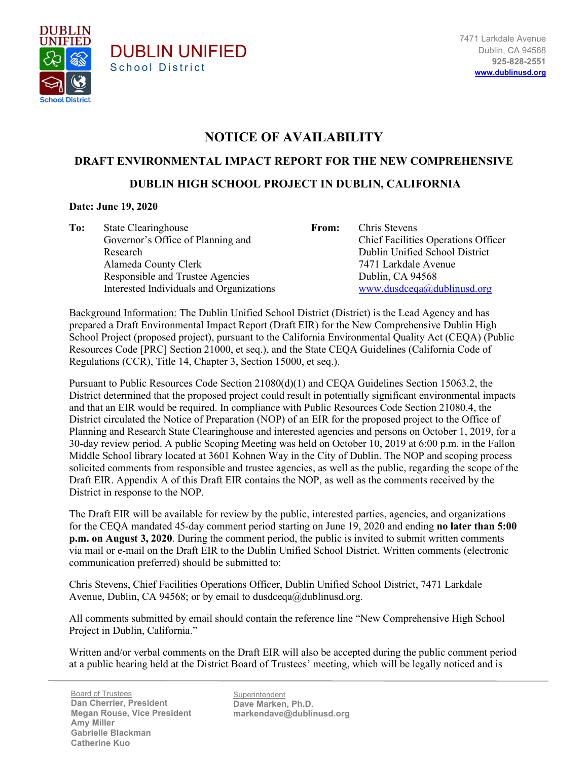

## **NOTICE OF AVAILABILITY**

## **DRAFT ENVIRONMENTAL IMPACT REPORT FOR THE NEW COMPREHENSIVE**

## **DUBLIN HIGH SCHOOL PROJECT IN DUBLIN, CALIFORNIA**

## **Date: June 19, 2020**

**To:** State Clearinghouse Governor's Office of Planning and Research Alameda County Clerk Responsible and Trustee Agencies Interested Individuals and Organizations

DUBLIN UNIFIED

School District

**From:** Chris Stevens Chief Facilities Operations Officer Dublin Unified School District 7471 Larkdale Avenue Dublin, CA 94568 [www.dusdceqa@dublinusd.org](http://www.dusdceqa@dublinusd.org)

Background Information: The Dublin Unified School District (District) is the Lead Agency and has prepared a Draft Environmental Impact Report (Draft EIR) for the New Comprehensive Dublin High School Project (proposed project), pursuant to the California Environmental Quality Act (CEQA) (Public Resources Code [PRC] Section 21000, et seq.), and the State CEQA Guidelines (California Code of Regulations (CCR), Title 14, Chapter 3, Section 15000, et seq.).

Pursuant to Public Resources Code Section 21080(d)(1) and CEQA Guidelines Section 15063.2, the District determined that the proposed project could result in potentially significant environmental impacts and that an EIR would be required. In compliance with Public Resources Code Section 21080.4, the District circulated the Notice of Preparation (NOP) of an EIR for the proposed project to the Office of Planning and Research State Clearinghouse and interested agencies and persons on October 1, 2019, for a 30-day review period. A public Scoping Meeting was held on October 10, 2019 at 6:00 p.m. in the Fallon Middle School library located at 3601 Kohnen Way in the City of Dublin. The NOP and scoping process solicited comments from responsible and trustee agencies, as well as the public, regarding the scope of the Draft EIR. Appendix A of this Draft EIR contains the NOP, as well as the comments received by the District in response to the NOP.

The Draft EIR will be available for review by the public, interested parties, agencies, and organizations for the CEQA mandated 45-day comment period starting on June 19, 2020 and ending **no later than 5:00 p.m. on August 3, 2020**. During the comment period, the public is invited to submit written comments via mail or e-mail on the Draft EIR to the Dublin Unified School District. Written comments (electronic communication preferred) should be submitted to:

Chris Stevens, Chief Facilities Operations Officer, Dublin Unified School District, 7471 Larkdale Avenue, Dublin, CA 94568; or by email to dusdceqa@dublinusd.org.

All comments submitted by email should contain the reference line "New Comprehensive High School Project in Dublin, California."

Written and/or verbal comments on the Draft EIR will also be accepted during the public comment period at a public hearing held at the District Board of Trustees' meeting, which will be legally noticed and is

Dan Cherrier, President Board of Trustees **Megan Rouse, Vice President Amy Miller Gabrielle Blackman Catherine Kuo**

**Superintendent Dave Marken, Ph.D. markendave@dublinusd.org**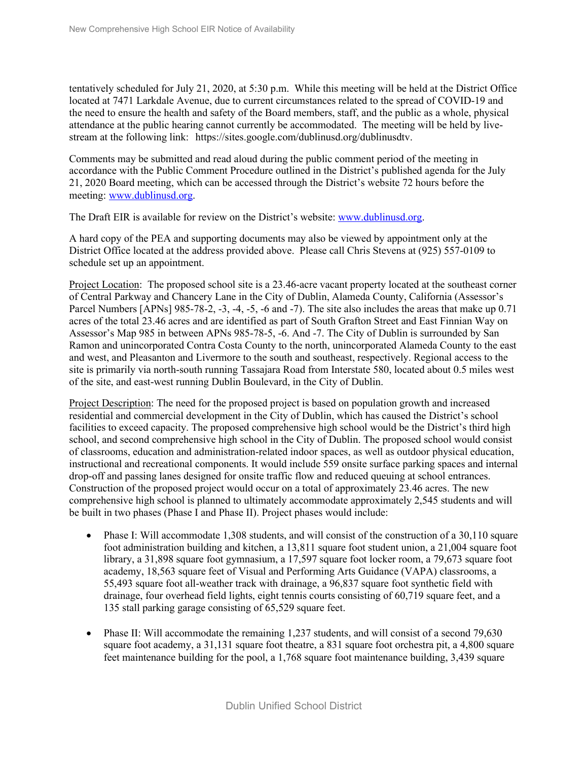tentatively scheduled for July 21, 2020, at 5:30 p.m. While this meeting will be held at the District Office located at 7471 Larkdale Avenue, due to current circumstances related to the spread of COVID-19 and the need to ensure the health and safety of the Board members, staff, and the public as a whole, physical attendance at the public hearing cannot currently be accommodated. The meeting will be held by livestream at the following link: https://sites.google.com/dublinusd.org/dublinusdtv.

Comments may be submitted and read aloud during the public comment period of the meeting in accordance with the Public Comment Procedure outlined in the District's published agenda for the July 21, 2020 Board meeting, which can be accessed through the District's website 72 hours before the meeting: [www.dublinusd.org.](http://www.dublinusd.org/)

The Draft EIR is available for review on the District's website: [www.dublinusd.org.](http://www.dublinusd.org/)

A hard copy of the PEA and supporting documents may also be viewed by appointment only at the District Office located at the address provided above. Please call Chris Stevens at (925) 557-0109 to schedule set up an appointment.

Project Location: The proposed school site is a 23.46-acre vacant property located at the southeast corner of Central Parkway and Chancery Lane in the City of Dublin, Alameda County, California (Assessor's Parcel Numbers [APNs] 985-78-2, -3, -4, -5, -6 and -7). The site also includes the areas that make up 0.71 acres of the total 23.46 acres and are identified as part of South Grafton Street and East Finnian Way on Assessor's Map 985 in between APNs 985-78-5, -6. And -7. The City of Dublin is surrounded by San Ramon and unincorporated Contra Costa County to the north, unincorporated Alameda County to the east and west, and Pleasanton and Livermore to the south and southeast, respectively. Regional access to the site is primarily via north-south running Tassajara Road from Interstate 580, located about 0.5 miles west of the site, and east-west running Dublin Boulevard, in the City of Dublin.

Project Description: The need for the proposed project is based on population growth and increased residential and commercial development in the City of Dublin, which has caused the District's school facilities to exceed capacity. The proposed comprehensive high school would be the District's third high school, and second comprehensive high school in the City of Dublin. The proposed school would consist of classrooms, education and administration-related indoor spaces, as well as outdoor physical education, instructional and recreational components. It would include 559 onsite surface parking spaces and internal drop-off and passing lanes designed for onsite traffic flow and reduced queuing at school entrances. Construction of the proposed project would occur on a total of approximately 23.46 acres. The new comprehensive high school is planned to ultimately accommodate approximately 2,545 students and will be built in two phases (Phase I and Phase II). Project phases would include:

- Phase I: Will accommodate 1,308 students, and will consist of the construction of a 30,110 square foot administration building and kitchen, a 13,811 square foot student union, a 21,004 square foot library, a 31,898 square foot gymnasium, a 17,597 square foot locker room, a 79,673 square foot academy, 18,563 square feet of Visual and Performing Arts Guidance (VAPA) classrooms, a 55,493 square foot all-weather track with drainage, a 96,837 square foot synthetic field with drainage, four overhead field lights, eight tennis courts consisting of 60,719 square feet, and a 135 stall parking garage consisting of 65,529 square feet.
- Phase II: Will accommodate the remaining 1,237 students, and will consist of a second 79,630 square foot academy, a 31,131 square foot theatre, a 831 square foot orchestra pit, a 4,800 square feet maintenance building for the pool, a 1,768 square foot maintenance building, 3,439 square